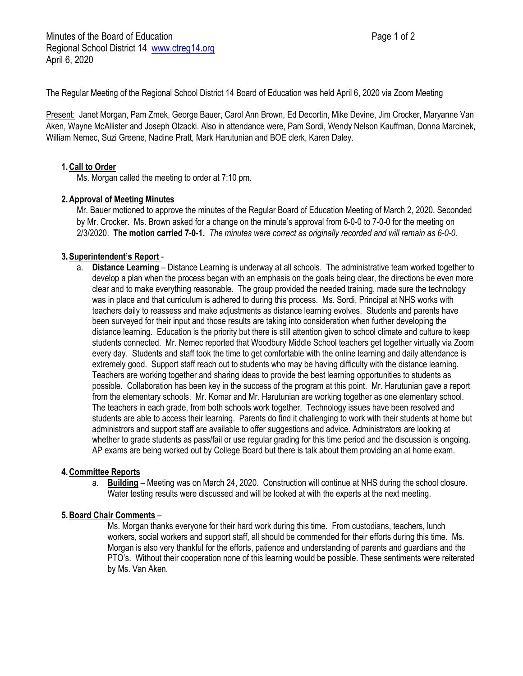The Regular Meeting of the Regional School District 14 Board of Education was held April 6, 2020 via Zoom Meeting

Present: Janet Morgan, Pam Zmek, George Bauer, Carol Ann Brown, Ed Decortin, Mike Devine, Jim Crocker, Maryanne Van Aken, Wayne McAllister and Joseph Olzacki. Also in attendance were, Pam Sordi, Wendy Nelson Kauffman, Donna Marcinek, William Nemec, Suzi Greene, Nadine Pratt, Mark Harutunian and BOE clerk, Karen Daley.

# **1.Call to Order**

Ms. Morgan called the meeting to order at 7:10 pm.

## **2.Approval of Meeting Minutes**

Mr. Bauer motioned to approve the minutes of the Regular Board of Education Meeting of March 2, 2020. Seconded by Mr. Crocker. Ms. Brown asked for a change on the minute's approval from 6-0-0 to 7-0-0 for the meeting on 2/3/2020. **The motion carried 7-0-1.** *The minutes were correct as originally recorded and will remain as 6-0-0.*

## **3.Superintendent's Report** -

a. **Distance Learning** – Distance Learning is underway at all schools. The administrative team worked together to develop a plan when the process began with an emphasis on the goals being clear, the directions be even more clear and to make everything reasonable. The group provided the needed training, made sure the technology was in place and that curriculum is adhered to during this process. Ms. Sordi, Principal at NHS works with teachers daily to reassess and make adjustments as distance learning evolves. Students and parents have been surveyed for their input and those results are taking into consideration when further developing the distance learning. Education is the priority but there is still attention given to school climate and culture to keep students connected. Mr. Nemec reported that Woodbury Middle School teachers get together virtually via Zoom every day. Students and staff took the time to get comfortable with the online learning and daily attendance is extremely good. Support staff reach out to students who may be having difficulty with the distance learning. Teachers are working together and sharing ideas to provide the best learning opportunities to students as possible. Collaboration has been key in the success of the program at this point. Mr. Harutunian gave a report from the elementary schools. Mr. Komar and Mr. Harutunian are working together as one elementary school. The teachers in each grade, from both schools work together. Technology issues have been resolved and students are able to access their learning. Parents do find it challenging to work with their students at home but administrors and support staff are available to offer suggestions and advice. Administrators are looking at whether to grade students as pass/fail or use regular grading for this time period and the discussion is ongoing. AP exams are being worked out by College Board but there is talk about them providing an at home exam.

### **4.Committee Reports**

a. **Building** – Meeting was on March 24, 2020. Construction will continue at NHS during the school closure. Water testing results were discussed and will be looked at with the experts at the next meeting.

### **5.Board Chair Comments** –

Ms. Morgan thanks everyone for their hard work during this time. From custodians, teachers, lunch workers, social workers and support staff, all should be commended for their efforts during this time. Ms. Morgan is also very thankful for the efforts, patience and understanding of parents and guardians and the PTO's. Without their cooperation none of this learning would be possible. These sentiments were reiterated by Ms. Van Aken.